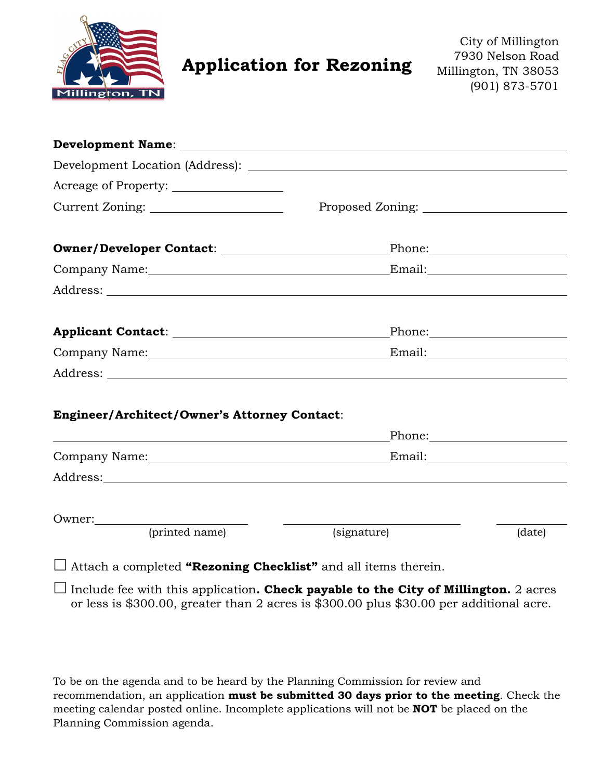

# **Application for Rezoning**

City of Millington 7930 Nelson Road Millington, TN 38053 (901) 873-5701

| Owner/Developer Contact: \\square\\square\square\square\square\square\square\square\square\square\square\square\square\square\square\square\square\square\square\square\square\square\square\square\square\square\square\squar |             |              |
|--------------------------------------------------------------------------------------------------------------------------------------------------------------------------------------------------------------------------------|-------------|--------------|
|                                                                                                                                                                                                                                |             |              |
|                                                                                                                                                                                                                                |             |              |
| Applicant Contact: National Contact:                                                                                                                                                                                           |             | Phone: Phone |
|                                                                                                                                                                                                                                |             |              |
|                                                                                                                                                                                                                                |             |              |
| Engineer/Architect/Owner's Attorney Contact:                                                                                                                                                                                   |             |              |
|                                                                                                                                                                                                                                |             |              |
|                                                                                                                                                                                                                                |             |              |
|                                                                                                                                                                                                                                |             |              |
| Owner:                                                                                                                                                                                                                         |             |              |
| (printed name)                                                                                                                                                                                                                 | (signature) | (date)       |

Attach a completed **"Rezoning Checklist"** and all items therein.

 $\Box$  Include fee with this application. Check payable to the City of Millington. 2 acres or less is \$300.00, greater than 2 acres is \$300.00 plus \$30.00 per additional acre.

To be on the agenda and to be heard by the Planning Commission for review and recommendation, an application **must be submitted 30 days prior to the meeting**. Check the meeting calendar posted online. Incomplete applications will not be **NOT** be placed on the Planning Commission agenda.